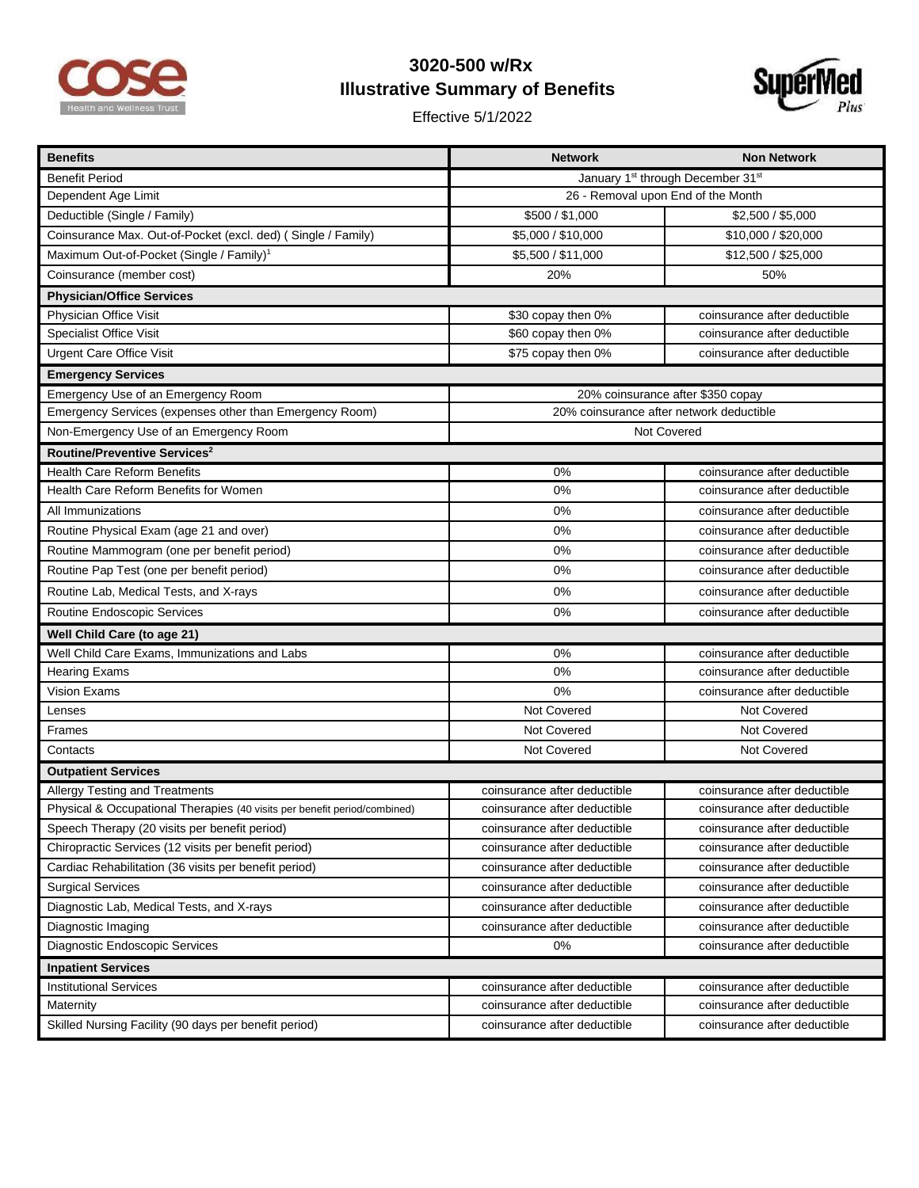

## **3020-500 w/Rx Illustrative Summary of Benefits**

Effective 5/1/2022



| <b>Benefits</b>                                                           | <b>Network</b>                                            | <b>Non Network</b>           |  |
|---------------------------------------------------------------------------|-----------------------------------------------------------|------------------------------|--|
| <b>Benefit Period</b>                                                     | January 1 <sup>st</sup> through December 31 <sup>st</sup> |                              |  |
| Dependent Age Limit                                                       | 26 - Removal upon End of the Month                        |                              |  |
| Deductible (Single / Family)                                              | \$500 / \$1,000                                           | \$2,500 / \$5,000            |  |
| Coinsurance Max. Out-of-Pocket (excl. ded) (Single / Family)              | \$5,000 / \$10,000                                        | \$10,000 / \$20,000          |  |
| Maximum Out-of-Pocket (Single / Family) <sup>1</sup>                      | \$5,500 / \$11,000                                        | \$12,500 / \$25,000          |  |
| Coinsurance (member cost)                                                 | 20%                                                       | 50%                          |  |
| <b>Physician/Office Services</b>                                          |                                                           |                              |  |
| Physician Office Visit                                                    | \$30 copay then 0%                                        | coinsurance after deductible |  |
| <b>Specialist Office Visit</b>                                            | \$60 copay then 0%                                        | coinsurance after deductible |  |
| <b>Urgent Care Office Visit</b>                                           | \$75 copay then 0%                                        | coinsurance after deductible |  |
| <b>Emergency Services</b>                                                 |                                                           |                              |  |
| Emergency Use of an Emergency Room                                        | 20% coinsurance after \$350 copay                         |                              |  |
| Emergency Services (expenses other than Emergency Room)                   | 20% coinsurance after network deductible                  |                              |  |
| Non-Emergency Use of an Emergency Room                                    | <b>Not Covered</b>                                        |                              |  |
| Routine/Preventive Services <sup>2</sup>                                  |                                                           |                              |  |
| <b>Health Care Reform Benefits</b>                                        | 0%                                                        | coinsurance after deductible |  |
| Health Care Reform Benefits for Women                                     | 0%                                                        | coinsurance after deductible |  |
| All Immunizations                                                         | 0%                                                        | coinsurance after deductible |  |
| Routine Physical Exam (age 21 and over)                                   | 0%                                                        | coinsurance after deductible |  |
| Routine Mammogram (one per benefit period)                                | 0%                                                        | coinsurance after deductible |  |
| Routine Pap Test (one per benefit period)                                 | 0%                                                        | coinsurance after deductible |  |
| Routine Lab, Medical Tests, and X-rays                                    | 0%                                                        | coinsurance after deductible |  |
| Routine Endoscopic Services                                               | 0%                                                        | coinsurance after deductible |  |
| Well Child Care (to age 21)                                               |                                                           |                              |  |
| Well Child Care Exams, Immunizations and Labs                             | 0%                                                        | coinsurance after deductible |  |
| <b>Hearing Exams</b>                                                      | 0%                                                        | coinsurance after deductible |  |
| Vision Exams                                                              | 0%                                                        | coinsurance after deductible |  |
| Lenses                                                                    | Not Covered                                               | Not Covered                  |  |
| Frames                                                                    | Not Covered                                               | Not Covered                  |  |
| Contacts                                                                  | Not Covered                                               | Not Covered                  |  |
| <b>Outpatient Services</b>                                                |                                                           |                              |  |
| Allergy Testing and Treatments                                            | coinsurance after deductible                              | coinsurance after deductible |  |
| Physical & Occupational Therapies (40 visits per benefit period/combined) | coinsurance after deductible                              | coinsurance after deductible |  |
| Speech Therapy (20 visits per benefit period)                             | coinsurance after deductible                              | coinsurance after deductible |  |
| Chiropractic Services (12 visits per benefit period)                      | coinsurance after deductible                              | coinsurance after deductible |  |
| Cardiac Rehabilitation (36 visits per benefit period)                     | coinsurance after deductible                              | coinsurance after deductible |  |
| <b>Surgical Services</b>                                                  | coinsurance after deductible                              | coinsurance after deductible |  |
| Diagnostic Lab, Medical Tests, and X-rays                                 | coinsurance after deductible                              | coinsurance after deductible |  |
| Diagnostic Imaging                                                        | coinsurance after deductible                              | coinsurance after deductible |  |
| Diagnostic Endoscopic Services                                            | 0%                                                        | coinsurance after deductible |  |
| <b>Inpatient Services</b>                                                 |                                                           |                              |  |
| <b>Institutional Services</b>                                             | coinsurance after deductible                              | coinsurance after deductible |  |
| Maternity                                                                 | coinsurance after deductible                              | coinsurance after deductible |  |
| Skilled Nursing Facility (90 days per benefit period)                     | coinsurance after deductible                              | coinsurance after deductible |  |